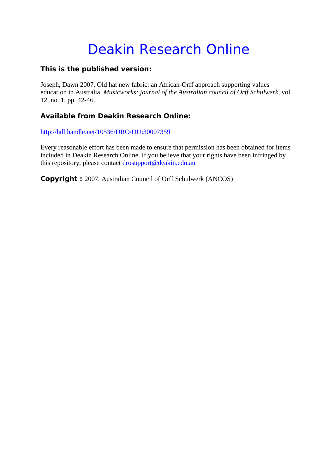# Deakin Research Online

### **This is the published version:**

Joseph, Dawn 2007, Old hat new fabric: an African-Orff approach supporting values education in Australia*, Musicworks: journal of the Australian council of Orff Schulwerk*, vol. 12, no. 1, pp. 42-46.

## **Available from Deakin Research Online:**

http://hdl.handle.net/10536/DRO/DU:30007359

Every reasonable effort has been made to ensure that permission has been obtained for items included in Deakin Research Online. If you believe that your rights have been infringed by this repository, please contact drosupport@deakin.edu.au

**Copyright :** 2007, Australian Council of Orff Schulwerk (ANCOS)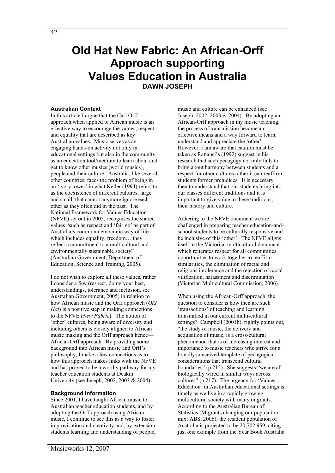# **Old Hat New Fabric: An African-Orff Approach supporting Values Education in Australia DAWN JOSEPH**

#### **Australian Context**

In this article I argue that the Carl Orff approach when applied to African music is an effective way to encourage the values, respect and equality that are described as key Australian values. Music serves as an engaging hands-on activity not only in educational settings but also in the community as an education tool/medium to learn about and get to know other musics (world musics), people and their culture. Australia, like several other countries, faces the problem of being in an 'ivory tower' in what Keller (1994) refers to as the coexistence of different cultures, large and small, that cannot anymore ignore each other as they often did in the past. The National Framework for Values Education (NFVE) set out in 2005, recognises the shared values "such as respect and 'fair go' as part of Australia's common democratic way of life which includes equality, freedom… they reflect a commitment to a multicultural and environmentally sustainable society" (Australian Government, Department of Education, Science and Training, 2005).

I do not wish to explore all these values, rather I consider a few (respect, doing your best, understandings, tolerance and inclusion, see Australian Government, 2005) in relation to how African music and the Orff approach (*Old Hat*) is a positive step in making connections to the NFVE (*New Fabric*). The notion of 'other' cultures, being aware of diversity and including others is closely aligned to African music making and the Orff approach hence— African-Orff approach. By providing some background into African music and Orff's philosophy, I make a few connections as to how this approach makes links with the NFVE and has proved to be a worthy pathway for my teacher education students at Deakin University (see Joseph, 2002, 2003 & 2004).

#### **Background Information**

Since 2001, I have taught African music to Australian teacher education students, and by adopting the Orff approach using African music, I continue to see this as a way to foster improvisation and creativity and, by extension, students learning and understanding of people,

music and culture can be enhanced (see Joseph, 2002, 2003 & 2004). By adopting an African-Orff approach in my music teaching, the process of transmission became an effective means and a way forward to learn, understand and appreciate the 'other'. However, I am aware that caution must be taken as Rattansi's (1992) suggest in his research that such pedagogy not only fails to bring about harmony between students and a respect for other cultures rather it can reaffirm students former prejudices. It is necessary then to understand that our students bring into our classes different traditions and it is important to give value to these traditions, their history and culture.

Adhering to the NFVE document we are challenged in preparing teacher education-andschool students to be culturally responsive and be inclusive of this 'other'. The NFVE aligns itself to the Victorian multicultural document which reiterates respect for all communities, opportunities to work together to reaffirm similarities, the elimination of racial and religious intolerance and the rejection of racial vilification, harassment and discrimination (Victorian Multicultural Commission, 2006).

When using the African-Orff approach, the question to consider is how then are such 'transactions' of teaching and learning transmitted in our current multi-cultural settings? Campbell (2001b), rightly points out, "the study of music, the delivery and acquisition of music, is a cross-cultural phenomenon that is of increasing interest and importance to music teachers who strive for a broadly conceived template of pedagogical considerations that transcend cultural boundaries" (p.215). She suggests "we are all biologically wired in similar ways across cultures" (p.217). The urgency for 'Values Education' in Australian educational settings is timely as we live in a rapidly growing multicultural society with many migrants. According to the Australian Bureau of Statistics (Migrants changing our population mix: ABS, 2006), the resident population of Australia is projected to be 20,702,959, citing just one example from the Year Book Australia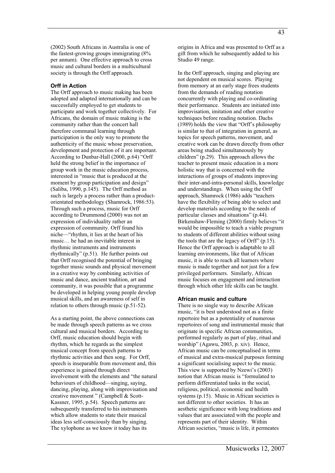#### **Orff in Action**

The Orff approach to music making has been adopted and adapted internationally and can be successfully employed to get students to participate and work together collectively. For Africans, the domain of music making is the community rather than the concert hall therefore communal learning through participation is the only way to promote the authenticity of the music whose preservation, development and protection of it are important. According to Dunbar-Hall (2000, p.64) "Orff held the strong belief in the importance of group work in the music education process, interested in "music that is produced at the moment by group participation and design" (Saliba, 1990, p.145). The Orff method as such is largely a process rather than a productorientated methodology (Shamrock, 1986:53). Through such a process, music for Orff according to Drummond (2000) was not an expression of individuality rather an expression of community. Orff found his niche—"rhythm, it lies at the heart of his music… he had an inevitable interest in rhythmic instruments and instruments rhythmically" (p.51). He further points out that Orff recognised the potential of bringing together music sounds and physical movement in a creative way by combining activities of music and dance, ancient tradition, art and community, it was possible that a programme be developed in helping young people develop musical skills, and an awareness of self in relation to others through music (p.51-52).

As a starting point, the above connections can be made through speech patterns as we cross cultural and musical borders. According to Orff, music education should begin with rhythm, which he regards as the simplest musical concept from speech patterns to rhythmic activities and then song. For Orff, speech is inseparable from movement and, this experience is gained through direct involvement with the elements and "the natural behaviours of childhood—singing, saying, dancing, playing, along with improvisation and creative movement " (Campbell & Scott-Kassner, 1995, p.54). Speech patterns are subsequently transferred to his instruments which allow students to state their musical ideas less self-consciously than by singing. The xylophone as we know it today has its

origins in Africa and was presented to Orff as a gift from which he subsequently added to his Studio 49 range.

In the Orff approach, singing and playing are not dependent on musical scores. Playing from memory at an early stage frees students from the demands of reading notation concurrently with playing and co-ordinating their performance. Students are initiated into improvisation, imitation and other creative techniques before reading notation. Dachs (1989) holds the view that "Orff's philosophy is similar to that of integration in general, as topics for speech patterns, movement, and creative work can be drawn directly from other areas being studied simultaneously by children" (p.29). This approach allows the teacher to present music education in a more holistic way that is concerned with the interactions of groups of students improving their inter-and-intra-personal skills, knowledge and understandings. When using the Orff approach, Shamrock (1986) adds "teachers have the flexibility of being able to select and develop materials according to the needs of particular classes and situations" (p.44). Birkenshaw-Fleming (2000) firmly believes "it would be impossible to teach a viable program to students of different abilities without using the tools that are the legacy of Orff" (p.15). Hence the Orff approach is adaptable to all learning environments, like that of African music, it is able to reach all learners where music is made together and not just for a few privileged performers. Similarly, African music focuses on engagement and interaction through which other life skills can be taught.

#### **African music and culture**

There is no single way to describe African music, "it is best understood not as a finite repertoire but as a potentiality of numerous repertoires of song and instrumental music that originate in specific African communities, performed regularly as part of play, ritual and worship" (Agawu, 2003, p. xiv). Hence, African music can be conceptualised in terms of musical and extra-musical purposes forming a significant socialising aspect to the music. This view is supported by Nzewi's (2003) notion that African music is "formulated to perform differentiated tasks in the social, religious, political, economic and health systems (p.15). Music in African societies is not different to other societies. It has an aesthetic significance with long traditions and values that are associated with the people and represents part of their identity. Within African societies, "music is life, it permeates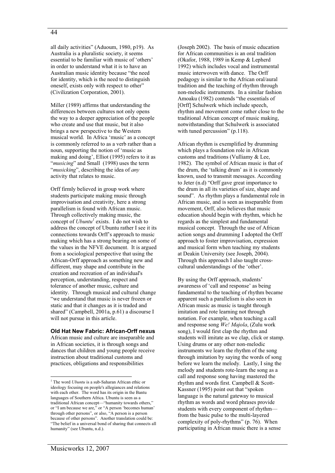#### 44

all daily activities" (Aduoum, 1980, p19). As Australia is a pluralistic society, it seems essential to be familiar with music of 'others' in order to understand what it is to have an Australian music identity because "the need for identity, which is the need to distinguish oneself, exists only with respect to other" (Civilization Corporation, 2001).

Miller (1989) affirms that understanding the differences between cultures not only opens the way to a deeper appreciation of the people who create and use that music, but it also brings a new perspective to the Western musical world. In Africa 'music' as a concept is commonly referred to as a verb rather than a noun, supporting the notion of 'music as making and doing', Elliot (1995) refers to it as "*musicing*" and Small (1998) uses the term "*musicking*", describing the idea of *any* activity that relates to music.

Orff firmly believed in group work where students participate making music through improvisation and creativity, here a strong parallelism is found with African music. Through collectively making music, the concept of *Ubuntu<sup>1</sup>* exists. I do not wish to address the concept of Ubuntu rather I see it its connections towards Orff's approach to music making which has a strong bearing on some of the values in the NFVE document. It is argued from a sociological perspective that using the African-Orff approach as something new and different, may shape and contribute in the creation and recreation of an individual's perception, understanding, respect and tolerance of another music, culture and identity. Through musical and cultural change "we understand that music is never frozen or static and that it changes as it is traded and shared" (Campbell, 2001a, p.61) a discourse I will not pursue in this article.

#### **Old Hat New Fabric: African-Orff nexus**

African music and culture are inseparable and in African societies, it is through songs and dances that children and young people receive instruction about traditional customs and practices, obligations and responsibilities

(Joseph 2002). The basis of music education for African communities is an oral tradition (Okafor, 1988, 1989 in Kemp & Lepherd 1992) which includes vocal and instrumental music interwoven with dance. The Orff pedagogy is similar to the African oral/aural tradition and the teaching of rhythm through non-melodic instruments. In a similar fashion Amoaku (1982) contends "the essentials of [Orff] Schulwerk which include speech, rhythm and movement come rather close to the traditional African concept of music making, notwithstanding that Schulwerk is associated with tuned percussion" (p.118).

African rhythm is exemplified by drumming which plays a foundation role in African customs and traditions (Vulliamy & Lee, 1982). The symbol of African music is that of the drum, the 'talking drum' as it is commonly known, used to transmit messages. According to Jeter (n.d) "Orff gave great importance to the drum in all its varieties of size, shape and sound". As rhythm plays a fundamental role in African music, and is seen as inseparable from movement, Orff, also believes that music education should begin with rhythm, which he regards as the simplest and fundamental musical concept. Through the use of African action songs and drumming I adopted the Orff approach to foster improvisation, expression and musical form when teaching my students at Deakin University (see Joseph, 2004). Through this approach I also taught crosscultural understandings of the 'other'.

By using the Orff approach, students' awareness of 'call and response' as being fundamental to the teaching of rhythm became apparent such a parallelism is also seen in African music as music is taught through imitation and rote learning not through notation. For example, when teaching a call and response song *We! Majola*, (Zulu work song), I would first clap the rhythm and students will imitate as we clap, click or stamp. Using drums or any other non-melodic instruments we learn the rhythm of the song through imitation by saying the words of song before we learn the melody. Lastly, I sing the melody and students rote-learn the song as a call and response song having mastered the rhythm and words first. Campbell & Scott-Kassner (1995) point out that "spoken language is the natural gateway to musical rhythm as words and word phrases provide students with every component of rhythm from the basic pulse to the multi-layered complexity of poly-rhythms" (p. 76). When participating in African music there is a sense

<sup>&</sup>lt;sup>1</sup> The word *Ubuntu* is a sub-Saharan African ethic or ideology focusing on people's allegiances and relations with each other. The word has its origin in the Bantu languages of Southern Africa. Ubuntu is seen as a traditional African concept—"humanity towards others," or "I am because we are," or "A person 'becomes human' through other persons", or also, "A person is a person because of other persons". Another translation could be: "The belief in a universal bond of sharing that connects all humanity" (see Ubuntu, n.d.).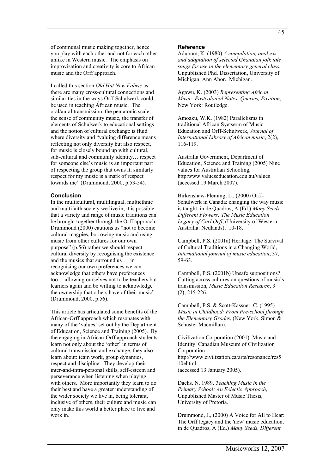I called this section *Old Hat New Fabric* as there are many cross-cultural connections and similarities in the ways Orff Schulwerk could be used in teaching African music. The oral/aural transmission, the pentatonic scale, the sense of community music, the transfer of elements of Schulwerk to educational settings and the notion of cultural exchange is fluid where diversity and "valuing difference means reflecting not only diversity but also respect, for music is closely bound up with cultural, sub-cultural and community identity… respect for someone else's music is an important part of respecting the group that owns it; similarly respect for my music is a mark of respect towards me" (Drummond, 2000, p.53-54).

#### **Conclusion**

In the multicultural, multilingual, multiethnic and multifaith society we live in, it is possible that a variety and range of music traditions can be brought together through the Orff approach. Drummond (2000) cautions us "not to become cultural magpies, borrowing music and using music from other cultures for our own purpose" (p.56) rather we should respect cultural diversity by recognising the existence and the musics that surround us … in recognising our own preferences we can acknowledge that others have preferences too… allowing ourselves not to be teachers but learners again and be willing to acknowledge the ownership that others have of their music" (Drummond, 2000, p.56).

This article has articulated some benefits of the African-Orff approach which resonates with many of the 'values' set out by the Department of Education, Science and Training (2005). By the engaging in African-Orff approach students learn not only about the 'other' in terms of cultural transmission and exchange, they also learn about: team work, group dynamics, respect and discipline. They develop their inter-and-intra-personal skills, self-esteem and perseverance when listening when playing with others. More importantly they learn to do their best and have a greater understanding of the wider society we live in, being tolerant, inclusive of others, their culture and music can only make this world a better place to live and work in.

#### **Reference**

Aduoum, K. (1980) *A compilation, analysis and adaptation of selected Ghanaian folk tale songs for use in the elementary general class.* Unpublished Phd. Dissertation, University of Michigan, Ann Abor., Michigan.

Agawu, K. (2003) *Representing African Music: Postcolonial Notes, Queries, Position*, New York: Routledge.

Amoaku, W.K. (1982) Parallelisms in traditional African Syetserm of Music Education and Orff-Schulwerk, *Journal of International Library of African music*, 2(2), 116-119.

Australia Government, Department of Education, Science and Training (2005) Nine values for Australian Schooling, http:www.valueseducation.edu.au/values (accessed 19 March 2007).

Birkenshaw-Fleming, L., (2000) Orff-Schulwerk in Canada: changing the way music is taught, in de Quadros, A (Ed.) *Many Seeds, Different Flowers: The Music Education Legacy of Carl Orff*, (University of Western Australia: Nedlands), 10-18.

Campbell, P.S. (2001a) Heritage: The Survival of Cultural Traditions in a Changing World, *International journal of music education*, 37, 59-63.

Campbell, P.S. (2001b) Unsafe suppositions? Cutting across cultures on questions of music's transmission, *Music Education Research*, 3 (2), 215-226.

Campbell, P.S. & Scott-Kassner, C. (1995) *Music in Childhood: From Pre-school through the Elementary Grades*, (New York, Simon & Schuster Macmillan).

Civilization Corporation (2001). Music and Identity. Canadian Museum of Civilization Corporation http://www.civilization.ca/arts/resonance/res5\_ 10ehtml (accessed 13 January 2005).

Dachs. N. 1989. *Teaching Music in the Primary School: An Eclectic Approach*, Unpublished Master of Music Thesis, University of Pretoria.

Drummond, J., (2000) A Voice for All to Hear: The Orff legacy and the 'new' music education, in de Quadros, A (Ed.) *Many Seeds, Different*